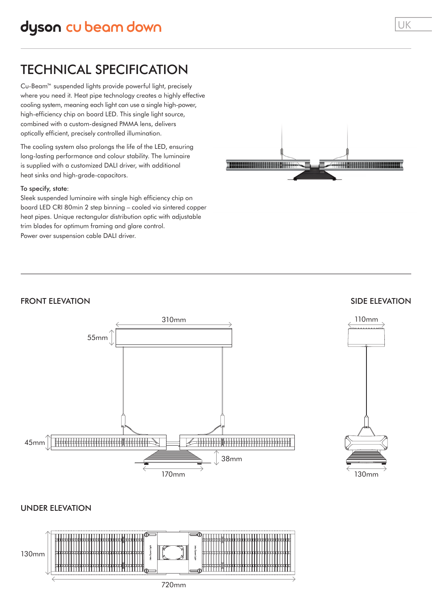# TECHNICAL SPECIFICATION

Cu-Beam™ suspended lights provide powerful light, precisely where you need it. Heat pipe technology creates a highly effective cooling system, meaning each light can use a single high-power, high-efficiency chip on board LED. This single light source, combined with a custom-designed PMMA lens, delivers optically efficient, precisely controlled illumination.

The cooling system also prolongs the life of the LED, ensuring long-lasting performance and colour stability. The luminaire is supplied with a customized DALI driver, with additional heat sinks and high-grade-capacitors.

#### To specify, state:

Sleek suspended luminaire with single high efficiency chip on board LED CRI 80min 2 step binning – cooled via sintered copper heat pipes. Unique rectangular distribution optic with adjustable trim blades for optimum framing and glare control. Power over suspension cable DALI driver.



## FRONT ELEVATION



#### SIDE ELEVATION



#### UNDER ELEVATION

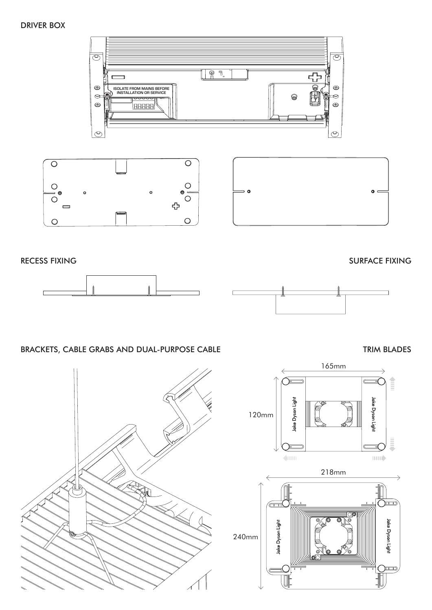## DRIVER BOX



240mm





# BRACKETS, CABLE GRABS AND DUAL-PURPOSE CABLE

TRIM BLADES